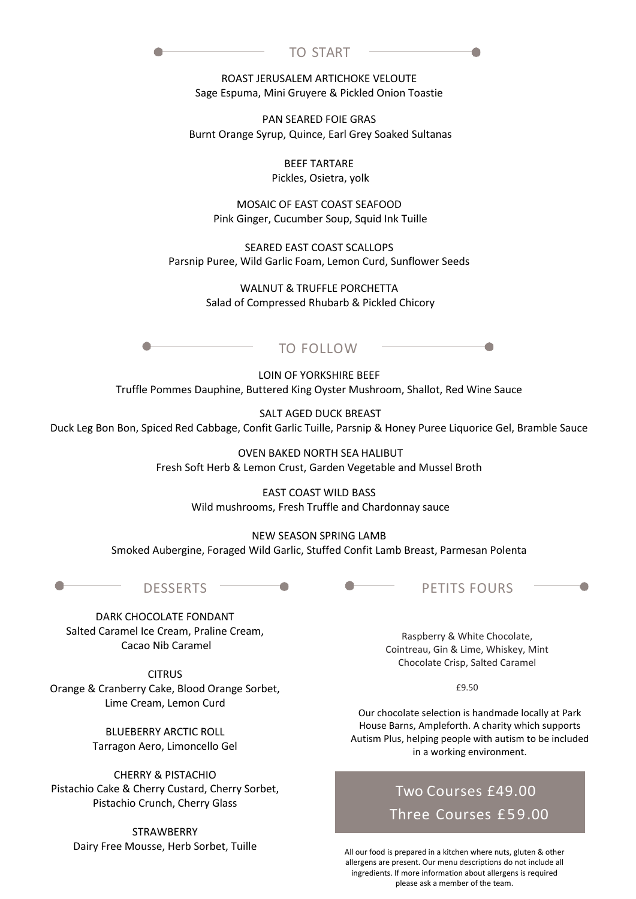| TO START<br>,,,, |  |
|------------------|--|
|                  |  |

ROAST JERUSALEM ARTICHOKE VELOUTE Sage Espuma, Mini Gruyere & Pickled Onion Toastie

PAN SEARED FOIE GRAS Burnt Orange Syrup, Quince, Earl Grey Soaked Sultanas

> BEEF TARTARE Pickles, Osietra, yolk

MOSAIC OF EAST COAST SEAFOOD Pink Ginger, Cucumber Soup, Squid Ink Tuille

SEARED EAST COAST SCALLOPS Parsnip Puree, Wild Garlic Foam, Lemon Curd, Sunflower Seeds

> WALNUT & TRUFFLE PORCHETTA Salad of Compressed Rhubarb & Pickled Chicory



LOIN OF YORKSHIRE BEEF Truffle Pommes Dauphine, Buttered King Oyster Mushroom, Shallot, Red Wine Sauce

SALT AGED DUCK BREAST Duck Leg Bon Bon, Spiced Red Cabbage, Confit Garlic Tuille, Parsnip & Honey Puree Liquorice Gel, Bramble Sauce

> OVEN BAKED NORTH SEA HALIBUT Fresh Soft Herb & Lemon Crust, Garden Vegetable and Mussel Broth

> > EAST COAST WILD BASS Wild mushrooms, Fresh Truffle and Chardonnay sauce

NEW SEASON SPRING LAMB Smoked Aubergine, Foraged Wild Garlic, Stuffed Confit Lamb Breast, Parmesan Polenta



DARK CHOCOLATE FONDANT Salted Caramel Ice Cream, Praline Cream, Cacao Nib Caramel

**CITRUS** Orange & Cranberry Cake, Blood Orange Sorbet, Lime Cream, Lemon Curd

> BLUEBERRY ARCTIC ROLL Tarragon Aero, Limoncello Gel

CHERRY & PISTACHIO Pistachio Cake & Cherry Custard, Cherry Sorbet, Pistachio Crunch, Cherry Glass

STRAWBERRY Dairy Free Mousse, Herb Sorbet, Tuille

Raspberry & White Chocolate, Cointreau, Gin & Lime, Whiskey, Mint Chocolate Crisp, Salted Caramel

£9.50

Our chocolate selection is handmade locally at Park House Barns, Ampleforth. A charity which supports Autism Plus, helping people with autism to be included in a working environment.

## Two Courses £49.00 Three Courses £59.00

All our food is prepared in a kitchen where nuts, gluten & other allergens are present. Our menu descriptions do not include all ingredients. If more information about allergens is required please ask a member of the team.